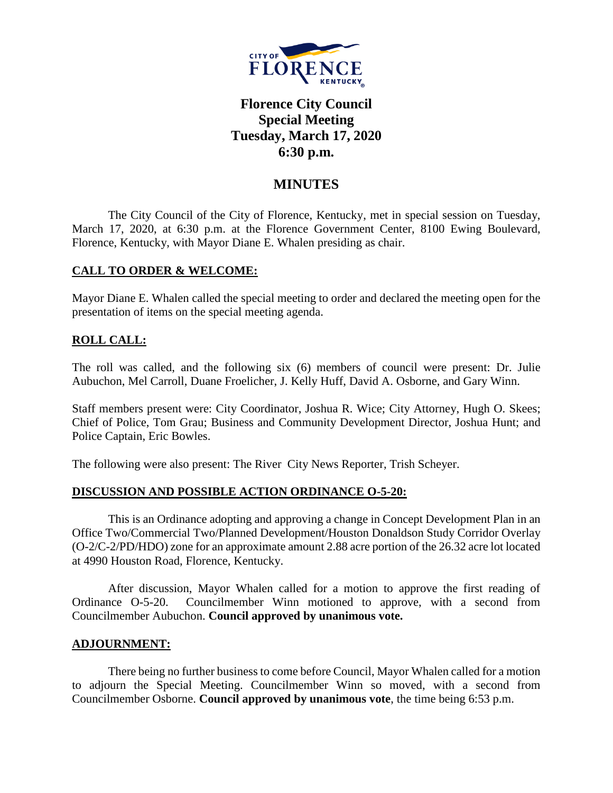

# **Florence City Council Special Meeting Tuesday, March 17, 2020 6:30 p.m.**

## **MINUTES**

The City Council of the City of Florence, Kentucky, met in special session on Tuesday, March 17, 2020, at 6:30 p.m. at the Florence Government Center, 8100 Ewing Boulevard, Florence, Kentucky, with Mayor Diane E. Whalen presiding as chair.

#### **CALL TO ORDER & WELCOME:**

Mayor Diane E. Whalen called the special meeting to order and declared the meeting open for the presentation of items on the special meeting agenda.

### **ROLL CALL:**

The roll was called, and the following six (6) members of council were present: Dr. Julie Aubuchon, Mel Carroll, Duane Froelicher, J. Kelly Huff, David A. Osborne, and Gary Winn.

Staff members present were: City Coordinator, Joshua R. Wice; City Attorney, Hugh O. Skees; Chief of Police, Tom Grau; Business and Community Development Director, Joshua Hunt; and Police Captain, Eric Bowles.

The following were also present: The River City News Reporter, Trish Scheyer.

#### **DISCUSSION AND POSSIBLE ACTION ORDINANCE O-5-20:**

This is an Ordinance adopting and approving a change in Concept Development Plan in an Office Two/Commercial Two/Planned Development/Houston Donaldson Study Corridor Overlay (O-2/C-2/PD/HDO) zone for an approximate amount 2.88 acre portion of the 26.32 acre lot located at 4990 Houston Road, Florence, Kentucky.

After discussion, Mayor Whalen called for a motion to approve the first reading of Ordinance O-5-20. Councilmember Winn motioned to approve, with a second from Councilmember Aubuchon. **Council approved by unanimous vote.**

#### **ADJOURNMENT:**

There being no further business to come before Council, Mayor Whalen called for a motion to adjourn the Special Meeting. Councilmember Winn so moved, with a second from Councilmember Osborne. **Council approved by unanimous vote**, the time being 6:53 p.m.